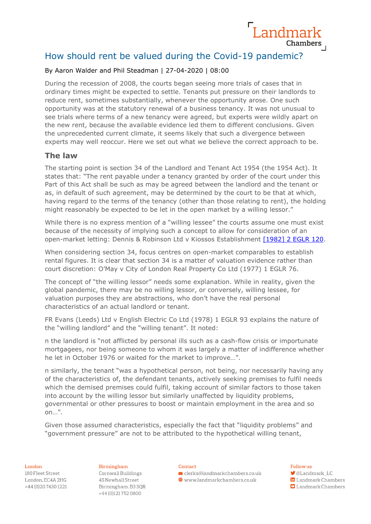# How should rent be valued during the Covid-19 pandemic?

### By Aaron Walder and Phil Steadman | 27-04-2020 | 08:00

During the recession of 2008, the courts began seeing more trials of cases that in ordinary times might be expected to settle. Tenants put pressure on their landlords to reduce rent, sometimes substantially, whenever the opportunity arose. One such opportunity was at the statutory renewal of a business tenancy. It was not unusual to see trials where terms of a new tenancy were agreed, but experts were wildly apart on the new rent, because the available evidence led them to different conclusions. Given the unprecedented current climate, it seems likely that such a divergence between experts may well reoccur. Here we set out what we believe the correct approach to be.

### **The law**

The starting point is section 34 of the Landlord and Tenant Act 1954 (the 1954 Act). It states that: "The rent payable under a tenancy granted by order of the court under this Part of this Act shall be such as may be agreed between the landlord and the tenant or as, in default of such agreement, may be determined by the court to be that at which, having regard to the terms of the tenancy (other than those relating to rent), the holding might reasonably be expected to be let in the open market by a willing lessor."

While there is no express mention of a "willing lessee" the courts assume one must exist because of the necessity of implying such a concept to allow for consideration of an open-market letting: Dennis & Robinson Ltd v Kiossos Establishment [\[1982\] 2 EGLR 120.](http://wordpress.egi.co.uk/https:/wordpress.egi.co.uk/legal/pugh-and-others-v-smiths-industries-ltd-and-others-f-a-welch-holdings-ltd-v-smiths-industries-ltd-smiths-industries-ltd-v-pugh-and-others/)

When considering section 34, focus centres on open-market comparables to establish rental figures. It is clear that section 34 is a matter of valuation evidence rather than court discretion: O'May v City of London Real Property Co Ltd (1977) 1 EGLR 76.

The concept of "the willing lessor" needs some explanation. While in reality, given the global pandemic, there may be no willing lessor, or conversely, willing lessee, for valuation purposes they are abstractions, who don't have the real personal characteristics of an actual landlord or tenant.

FR Evans (Leeds) Ltd v English Electric Co Ltd (1978) 1 EGLR 93 explains the nature of the "willing landlord" and the "willing tenant". It noted:

n the landlord is "not afflicted by personal ills such as a cash-flow crisis or importunate mortgagees, nor being someone to whom it was largely a matter of indifference whether he let in October 1976 or waited for the market to improve…".

n similarly, the tenant "was a hypothetical person, not being, nor necessarily having any of the characteristics of, the defendant tenants, actively seeking premises to fulfil needs which the demised premises could fulfil, taking account of similar factors to those taken into account by the willing lessor but similarly unaffected by liquidity problems, governmental or other pressures to boost or maintain employment in the area and so on…".

Given those assumed characteristics, especially the fact that "liquidity problems" and "government pressure" are not to be attributed to the hypothetical willing tenant,

#### London

180 Fleet Street London, EC4A 2HG +44 (0) 20 7430 1221

#### Birmingham

Cornwall Buildings 45 Newhall Street Birmingham, B33QR +44 (0)1217520800

#### Contact

 $\vee$  clerks@landmarkchambers.co.uk  $\textcolor{blue}{\bigoplus}$  www.landmarkchambers.co.uk

### Follow us

Landmark

Chambers

- **J**@Landmark\_LC in Landmark Chambers
- $\Box$  Landmark Chambers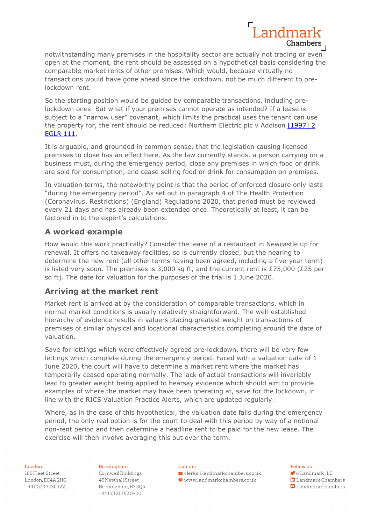

notwithstanding many premises in the hospitality sector are actually not trading or even open at the moment, the rent should be assessed on a hypothetical basis considering the comparable market rents of other premises. Which would, because virtually no transactions would have gone ahead since the lockdown, not be much different to prelockdown rent.

So the starting position would be guided by comparable transactions, including prelockdown ones. But what if your premises cannot operate as intended? If a lease is subject to a "narrow user" covenant, which limits the practical uses the tenant can use the property for, the rent should be reduced: Northern Electric plc v Addison [1997] 2 [EGLR 111.](http://wordpress.egi.co.uk/https:/wordpress.egi.co.uk/legal/northern-electric-plc-v-addison/)

It is arguable, and grounded in common sense, that the legislation causing licensed premises to close has an effect here. As the law currently stands, a person carrying on a business must, during the emergency period, close any premises in which food or drink are sold for consumption, and cease selling food or drink for consumption on premises.

In valuation terms, the noteworthy point is that the period of enforced closure only lasts "during the emergency period". As set out in paragraph 4 of The Health Protection (Coronavirus, Restrictions) (England) Regulations 2020, that period must be reviewed every 21 days and has already been extended once. Theoretically at least, it can be factored in to the expert's calculations.

## **A worked example**

How would this work practically? Consider the lease of a restaurant in Newcastle up for renewal. It offers no takeaway facilities, so is currently closed, but the hearing to determine the new rent (all other terms having been agreed, including a five-year term) is listed very soon. The premises is 3,000 sq ft, and the current rent is £75,000 (£25 per sq ft). The date for valuation for the purposes of the trial is 1 June 2020.

## **Arriving at the market rent**

Market rent is arrived at by the consideration of comparable transactions, which in normal market conditions is usually relatively straightforward. The well-established hierarchy of evidence results in valuers placing greatest weight on transactions of premises of similar physical and locational characteristics completing around the date of valuation.

Save for lettings which were effectively agreed pre-lockdown, there will be very few lettings which complete during the emergency period. Faced with a valuation date of 1 June 2020, the court will have to determine a market rent where the market has temporarily ceased operating normally. The lack of actual transactions will invariably lead to greater weight being applied to hearsay evidence which should aim to provide examples of where the market may have been operating at, save for the lockdown, in line with the RICS Valuation Practice Alerts, which are updated regularly.

Where, as in the case of this hypothetical, the valuation date falls during the emergency period, the only real option is for the court to deal with this period by way of a notional non-rent period and then determine a headline rent to be paid for the new lease. The exercise will then involve averaging this out over the term.

#### London

180 Fleet Street London, EC4A 2HG +44 (0) 20 74 30 12 21

Birmingham Cornwall Buildings 45 Newhall Street Birmingham, B33QR +44 (0)1217520800

#### Contact

 $\vee$  clerks@landmarkchambers.co.uk  $\textcolor{blue}{\bigoplus}$  www.landmarkchambers.co.uk

#### Follow us

**J**@Landmark\_LC

in Landmark Chambers  $\Box$  Landmark Chambers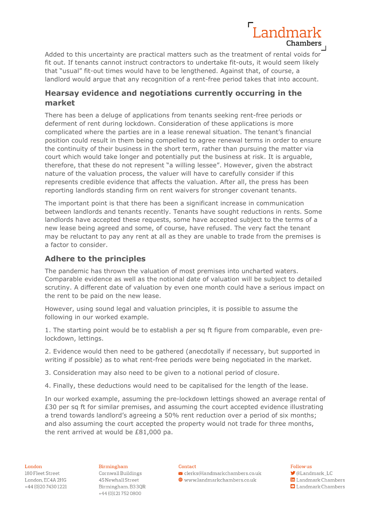

Added to this uncertainty are practical matters such as the treatment of rental voids for fit out. If tenants cannot instruct contractors to undertake fit-outs, it would seem likely that "usual" fit-out times would have to be lengthened. Against that, of course, a landlord would argue that any recognition of a rent-free period takes that into account.

## **Hearsay evidence and negotiations currently occurring in the market**

There has been a deluge of applications from tenants seeking rent-free periods or deferment of rent during lockdown. Consideration of these applications is more complicated where the parties are in a lease renewal situation. The tenant's financial position could result in them being compelled to agree renewal terms in order to ensure the continuity of their business in the short term, rather than pursuing the matter via court which would take longer and potentially put the business at risk. It is arguable, therefore, that these do not represent "a willing lessee". However, given the abstract nature of the valuation process, the valuer will have to carefully consider if this represents credible evidence that affects the valuation. After all, the press has been reporting landlords standing firm on rent waivers for stronger covenant tenants.

The important point is that there has been a significant increase in communication between landlords and tenants recently. Tenants have sought reductions in rents. Some landlords have accepted these requests, some have accepted subject to the terms of a new lease being agreed and some, of course, have refused. The very fact the tenant may be reluctant to pay any rent at all as they are unable to trade from the premises is a factor to consider.

## **Adhere to the principles**

The pandemic has thrown the valuation of most premises into uncharted waters. Comparable evidence as well as the notional date of valuation will be subject to detailed scrutiny. A different date of valuation by even one month could have a serious impact on the rent to be paid on the new lease.

However, using sound legal and valuation principles, it is possible to assume the following in our worked example.

1. The starting point would be to establish a per sq ft figure from comparable, even prelockdown, lettings.

2. Evidence would then need to be gathered (anecdotally if necessary, but supported in writing if possible) as to what rent-free periods were being negotiated in the market.

3. Consideration may also need to be given to a notional period of closure.

4. Finally, these deductions would need to be capitalised for the length of the lease.

In our worked example, assuming the pre-lockdown lettings showed an average rental of £30 per sq ft for similar premises, and assuming the court accepted evidence illustrating a trend towards landlord's agreeing a 50% rent reduction over a period of six months; and also assuming the court accepted the property would not trade for three months, the rent arrived at would be £81,000 pa.

#### London

180 Fleet Street London, EC4A 2HG +44 (0) 20 7430 1221 Birmingham Cornwall Buildings 45 Newhall Street Birmingham, B33QR +44 (0)1217520800

#### Contact

 $\vee$  clerks@landmarkchambers.co.uk  $\textcolor{blue}{\bigoplus}$  www.landmarkchambers.co.uk

## Follow us

- **J**@Landmark\_LC in Landmark Chambers
- $\Box$  Landmark Chambers